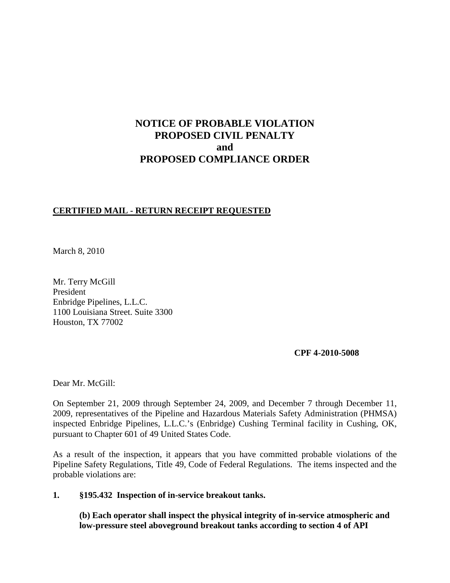# **NOTICE OF PROBABLE VIOLATION PROPOSED CIVIL PENALTY and PROPOSED COMPLIANCE ORDER**

## **CERTIFIED MAIL - RETURN RECEIPT REQUESTED**

March 8, 2010

Mr. Terry McGill President Enbridge Pipelines, L.L.C. 1100 Louisiana Street. Suite 3300 Houston, TX 77002

**CPF 4-2010-5008**

Dear Mr. McGill:

On September 21, 2009 through September 24, 2009, and December 7 through December 11, 2009, representatives of the Pipeline and Hazardous Materials Safety Administration (PHMSA) inspected Enbridge Pipelines, L.L.C.'s (Enbridge) Cushing Terminal facility in Cushing, OK, pursuant to Chapter 601 of 49 United States Code.

As a result of the inspection, it appears that you have committed probable violations of the Pipeline Safety Regulations, Title 49, Code of Federal Regulations. The items inspected and the probable violations are:

**1. §195.432 Inspection of in-service breakout tanks.**

**(b) Each operator shall inspect the physical integrity of in-service atmospheric and low-pressure steel aboveground breakout tanks according to section 4 of API**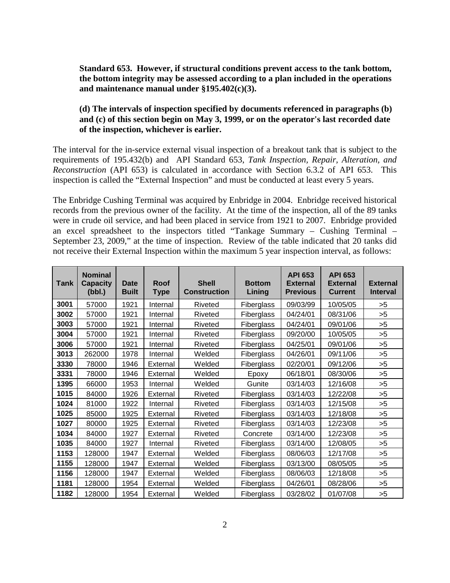**Standard 653. However, if structural conditions prevent access to the tank bottom, the bottom integrity may be assessed according to a plan included in the operations and maintenance manual under §195.402(c)(3).**

## **(d) The intervals of inspection specified by documents referenced in paragraphs (b) and (c) of this section begin on May 3, 1999, or on the operator's last recorded date of the inspection, whichever is earlier.**

The interval for the in-service external visual inspection of a breakout tank that is subject to the requirements of 195.432(b) and API Standard 653, *Tank Inspection, Repair, Alteration, and Reconstruction* (API 653) is calculated in accordance with Section 6.3.2 of API 653. This inspection is called the "External Inspection" and must be conducted at least every 5 years.

The Enbridge Cushing Terminal was acquired by Enbridge in 2004. Enbridge received historical records from the previous owner of the facility. At the time of the inspection, all of the 89 tanks were in crude oil service, and had been placed in service from 1921 to 2007. Enbridge provided an excel spreadsheet to the inspectors titled "Tankage Summary – Cushing Terminal – September 23, 2009," at the time of inspection. Review of the table indicated that 20 tanks did not receive their External Inspection within the maximum 5 year inspection interval, as follows:

| Tank | <b>Nominal</b><br><b>Capacity</b><br>(bbl.) | <b>Date</b><br><b>Built</b> | Roof<br><b>Type</b> | <b>Shell</b><br><b>Construction</b> | <b>Bottom</b><br>Lining | <b>API 653</b><br><b>External</b><br><b>Previous</b> | <b>API 653</b><br><b>External</b><br><b>Current</b> | <b>External</b><br><b>Interval</b> |
|------|---------------------------------------------|-----------------------------|---------------------|-------------------------------------|-------------------------|------------------------------------------------------|-----------------------------------------------------|------------------------------------|
| 3001 | 57000                                       | 1921                        | Internal            | Riveted                             | Fiberglass              | 09/03/99                                             | 10/05/05                                            | >5                                 |
| 3002 | 57000                                       | 1921                        | Internal            | Riveted                             | Fiberglass              | 04/24/01                                             | 08/31/06                                            | >5                                 |
| 3003 | 57000                                       | 1921                        | Internal            | Riveted                             | Fiberglass              | 04/24/01                                             | 09/01/06                                            | >5                                 |
| 3004 | 57000                                       | 1921                        | Internal            | Riveted                             | Fiberglass              | 09/20/00                                             | 10/05/05                                            | >5                                 |
| 3006 | 57000                                       | 1921                        | Internal            | Riveted                             | Fiberglass              | 04/25/01                                             | 09/01/06                                            | >5                                 |
| 3013 | 262000                                      | 1978                        | Internal            | Welded                              | Fiberglass              | 04/26/01                                             | 09/11/06                                            | >5                                 |
| 3330 | 78000                                       | 1946                        | External            | Welded                              | Fiberglass              | 02/20/01                                             | 09/12/06                                            | >5                                 |
| 3331 | 78000                                       | 1946                        | External            | Welded                              | Epoxy                   | 06/18/01                                             | 08/30/06                                            | >5                                 |
| 1395 | 66000                                       | 1953                        | Internal            | Welded                              | Gunite                  | 03/14/03                                             | 12/16/08                                            | >5                                 |
| 1015 | 84000                                       | 1926                        | External            | Riveted                             | Fiberglass              | 03/14/03                                             | 12/22/08                                            | >5                                 |
| 1024 | 81000                                       | 1922                        | Internal            | Riveted                             | Fiberglass              | 03/14/03                                             | 12/15/08                                            | >5                                 |
| 1025 | 85000                                       | 1925                        | External            | Riveted                             | Fiberglass              | 03/14/03                                             | 12/18/08                                            | >5                                 |
| 1027 | 80000                                       | 1925                        | External            | Riveted                             | Fiberglass              | 03/14/03                                             | 12/23/08                                            | >5                                 |
| 1034 | 84000                                       | 1927                        | External            | Riveted                             | Concrete                | 03/14/00                                             | 12/23/08                                            | >5                                 |
| 1035 | 84000                                       | 1927                        | Internal            | Riveted                             | Fiberglass              | 03/14/00                                             | 12/08/05                                            | >5                                 |
| 1153 | 128000                                      | 1947                        | External            | Welded                              | Fiberglass              | 08/06/03                                             | 12/17/08                                            | >5                                 |
| 1155 | 128000                                      | 1947                        | External            | Welded                              | Fiberglass              | 03/13/00                                             | 08/05/05                                            | >5                                 |
| 1156 | 128000                                      | 1947                        | External            | Welded                              | Fiberglass              | 08/06/03                                             | 12/18/08                                            | >5                                 |
| 1181 | 128000                                      | 1954                        | External            | Welded                              | Fiberglass              | 04/26/01                                             | 08/28/06                                            | >5                                 |
| 1182 | 128000                                      | 1954                        | External            | Welded                              | Fiberglass              | 03/28/02                                             | 01/07/08                                            | >5                                 |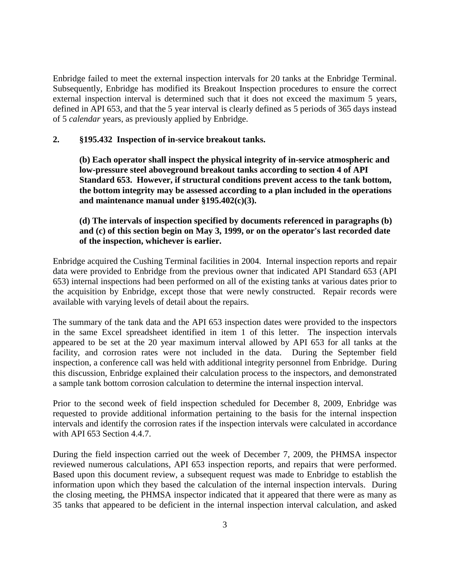Enbridge failed to meet the external inspection intervals for 20 tanks at the Enbridge Terminal. Subsequently, Enbridge has modified its Breakout Inspection procedures to ensure the correct external inspection interval is determined such that it does not exceed the maximum 5 years, defined in API 653, and that the 5 year interval is clearly defined as 5 periods of 365 days instead of 5 *calendar* years, as previously applied by Enbridge.

#### **2. §195.432 Inspection of in-service breakout tanks.**

**(b) Each operator shall inspect the physical integrity of in-service atmospheric and low-pressure steel aboveground breakout tanks according to section 4 of API Standard 653. However, if structural conditions prevent access to the tank bottom, the bottom integrity may be assessed according to a plan included in the operations and maintenance manual under §195.402(c)(3).**

## **(d) The intervals of inspection specified by documents referenced in paragraphs (b) and (c) of this section begin on May 3, 1999, or on the operator's last recorded date of the inspection, whichever is earlier.**

Enbridge acquired the Cushing Terminal facilities in 2004. Internal inspection reports and repair data were provided to Enbridge from the previous owner that indicated API Standard 653 (API 653) internal inspections had been performed on all of the existing tanks at various dates prior to the acquisition by Enbridge, except those that were newly constructed. Repair records were available with varying levels of detail about the repairs.

The summary of the tank data and the API 653 inspection dates were provided to the inspectors in the same Excel spreadsheet identified in item 1 of this letter. The inspection intervals appeared to be set at the 20 year maximum interval allowed by API 653 for all tanks at the facility, and corrosion rates were not included in the data. During the September field inspection, a conference call was held with additional integrity personnel from Enbridge. During this discussion, Enbridge explained their calculation process to the inspectors, and demonstrated a sample tank bottom corrosion calculation to determine the internal inspection interval.

Prior to the second week of field inspection scheduled for December 8, 2009, Enbridge was requested to provide additional information pertaining to the basis for the internal inspection intervals and identify the corrosion rates if the inspection intervals were calculated in accordance with API 653 Section 4.4.7.

During the field inspection carried out the week of December 7, 2009, the PHMSA inspector reviewed numerous calculations, API 653 inspection reports, and repairs that were performed. Based upon this document review, a subsequent request was made to Enbridge to establish the information upon which they based the calculation of the internal inspection intervals. During the closing meeting, the PHMSA inspector indicated that it appeared that there were as many as 35 tanks that appeared to be deficient in the internal inspection interval calculation, and asked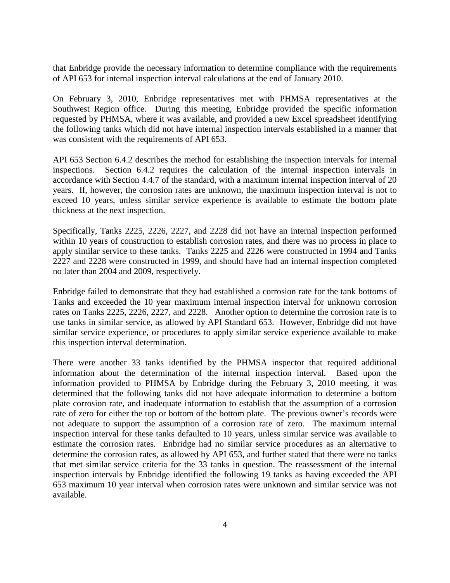that Enbridge provide the necessary information to determine compliance with the requirements of API 653 for internal inspection interval calculations at the end of January 2010.

On February 3, 2010, Enbridge representatives met with PHMSA representatives at the Southwest Region office. During this meeting, Enbridge provided the specific information requested by PHMSA, where it was available, and provided a new Excel spreadsheet identifying the following tanks which did not have internal inspection intervals established in a manner that was consistent with the requirements of API 653.

API 653 Section 6.4.2 describes the method for establishing the inspection intervals for internal inspections. Section 6.4.2 requires the calculation of the internal inspection intervals in accordance with Section 4.4.7 of the standard, with a maximum internal inspection interval of 20 years. If, however, the corrosion rates are unknown, the maximum inspection interval is not to exceed 10 years, unless similar service experience is available to estimate the bottom plate thickness at the next inspection.

Specifically, Tanks 2225, 2226, 2227, and 2228 did not have an internal inspection performed within 10 years of construction to establish corrosion rates, and there was no process in place to apply similar service to these tanks. Tanks 2225 and 2226 were constructed in 1994 and Tanks 2227 and 2228 were constructed in 1999, and should have had an internal inspection completed no later than 2004 and 2009, respectively.

Enbridge failed to demonstrate that they had established a corrosion rate for the tank bottoms of Tanks and exceeded the 10 year maximum internal inspection interval for unknown corrosion rates on Tanks 2225, 2226, 2227, and 2228. Another option to determine the corrosion rate is to use tanks in similar service, as allowed by API Standard 653. However, Enbridge did not have similar service experience, or procedures to apply similar service experience available to make this inspection interval determination.

There were another 33 tanks identified by the PHMSA inspector that required additional information about the determination of the internal inspection interval. Based upon the information provided to PHMSA by Enbridge during the February 3, 2010 meeting, it was determined that the following tanks did not have adequate information to determine a bottom plate corrosion rate, and inadequate information to establish that the assumption of a corrosion rate of zero for either the top or bottom of the bottom plate. The previous owner's records were not adequate to support the assumption of a corrosion rate of zero. The maximum internal inspection interval for these tanks defaulted to 10 years, unless similar service was available to estimate the corrosion rates. Enbridge had no similar service procedures as an alternative to determine the corrosion rates, as allowed by API 653, and further stated that there were no tanks that met similar service criteria for the 33 tanks in question. The reassessment of the internal inspection intervals by Enbridge identified the following 19 tanks as having exceeded the API 653 maximum 10 year interval when corrosion rates were unknown and similar service was not available.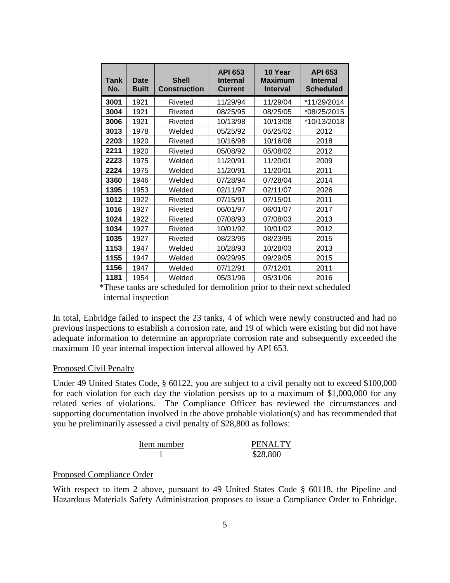| Tank<br>No. | Date<br><b>Built</b> | <b>Shell</b><br>Construction | <b>API 653</b><br><b>Internal</b><br>Current | 10 Year<br><b>Maximum</b><br><b>Interval</b> | <b>API 653</b><br><b>Internal</b><br><b>Scheduled</b> |
|-------------|----------------------|------------------------------|----------------------------------------------|----------------------------------------------|-------------------------------------------------------|
| 3001        | 1921                 | Riveted                      | 11/29/94                                     | 11/29/04                                     | *11/29/2014                                           |
| 3004        | 1921                 | Riveted                      | 08/25/95                                     | 08/25/05                                     | *08/25/2015                                           |
| 3006        | 1921                 | Riveted                      | 10/13/98                                     | 10/13/08                                     | *10/13/2018                                           |
| 3013        | 1978                 | Welded                       | 05/25/92                                     | 05/25/02                                     | 2012                                                  |
| 2203        | 1920                 | Riveted                      | 10/16/98                                     | 10/16/08                                     | 2018                                                  |
| 2211        | 1920                 | Riveted                      | 05/08/92                                     | 05/08/02                                     | 2012                                                  |
| 2223        | 1975                 | Welded                       | 11/20/91                                     | 11/20/01                                     | 2009                                                  |
| 2224        | 1975                 | Welded                       | 11/20/91                                     | 11/20/01                                     | 2011                                                  |
| 3360        | 1946                 | Welded                       | 07/28/94                                     | 07/28/04                                     | 2014                                                  |
| 1395        | 1953                 | Welded                       | 02/11/97                                     | 02/11/07                                     | 2026                                                  |
| 1012        | 1922                 | Riveted                      | 07/15/91                                     | 07/15/01                                     | 2011                                                  |
| 1016        | 1927                 | Riveted                      | 06/01/97                                     | 06/01/07                                     | 2017                                                  |
| 1024        | 1922                 | Riveted                      | 07/08/93                                     | 07/08/03                                     | 2013                                                  |
| 1034        | 1927                 | Riveted                      | 10/01/92                                     | 10/01/02                                     | 2012                                                  |
| 1035        | 1927                 | Riveted                      | 08/23/95                                     | 08/23/95                                     | 2015                                                  |
| 1153        | 1947                 | Welded                       | 10/28/93                                     | 10/28/03                                     | 2013                                                  |
| 1155        | 1947                 | Welded                       | 09/29/95                                     | 09/29/05                                     | 2015                                                  |
| 1156        | 1947                 | Welded                       | 07/12/91                                     | 07/12/01                                     | 2011                                                  |
| 1181        | 1954                 | Welded                       | 05/31/96                                     | 05/31/06                                     | 2016                                                  |

 \*These tanks are scheduled for demolition prior to their next scheduled internal inspection

In total, Enbridge failed to inspect the 23 tanks, 4 of which were newly constructed and had no previous inspections to establish a corrosion rate, and 19 of which were existing but did not have adequate information to determine an appropriate corrosion rate and subsequently exceeded the maximum 10 year internal inspection interval allowed by API 653.

#### Proposed Civil Penalty

Under 49 United States Code, § 60122, you are subject to a civil penalty not to exceed \$100,000 for each violation for each day the violation persists up to a maximum of \$1,000,000 for any related series of violations. The Compliance Officer has reviewed the circumstances and supporting documentation involved in the above probable violation(s) and has recommended that you be preliminarily assessed a civil penalty of \$28,800 as follows:

| Item number | <b>PENALTY</b> |
|-------------|----------------|
|             | \$28,800       |

#### Proposed Compliance Order

With respect to item 2 above, pursuant to 49 United States Code § 60118, the Pipeline and Hazardous Materials Safety Administration proposes to issue a Compliance Order to Enbridge.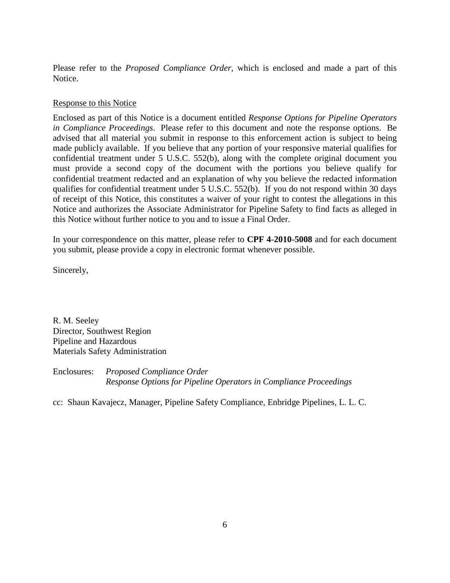Please refer to the *Proposed Compliance Order*, which is enclosed and made a part of this Notice.

#### Response to this Notice

Enclosed as part of this Notice is a document entitled *Response Options for Pipeline Operators in Compliance Proceedings*. Please refer to this document and note the response options. Be advised that all material you submit in response to this enforcement action is subject to being made publicly available. If you believe that any portion of your responsive material qualifies for confidential treatment under 5 U.S.C. 552(b), along with the complete original document you must provide a second copy of the document with the portions you believe qualify for confidential treatment redacted and an explanation of why you believe the redacted information qualifies for confidential treatment under 5 U.S.C. 552(b). If you do not respond within 30 days of receipt of this Notice, this constitutes a waiver of your right to contest the allegations in this Notice and authorizes the Associate Administrator for Pipeline Safety to find facts as alleged in this Notice without further notice to you and to issue a Final Order.

In your correspondence on this matter, please refer to **CPF 4-2010-5008** and for each document you submit, please provide a copy in electronic format whenever possible.

Sincerely,

R. M. Seeley Director, Southwest Region Pipeline and Hazardous Materials Safety Administration

Enclosures: *Proposed Compliance Order Response Options for Pipeline Operators in Compliance Proceedings*

cc: Shaun Kavajecz, Manager, Pipeline Safety Compliance, Enbridge Pipelines, L. L. C.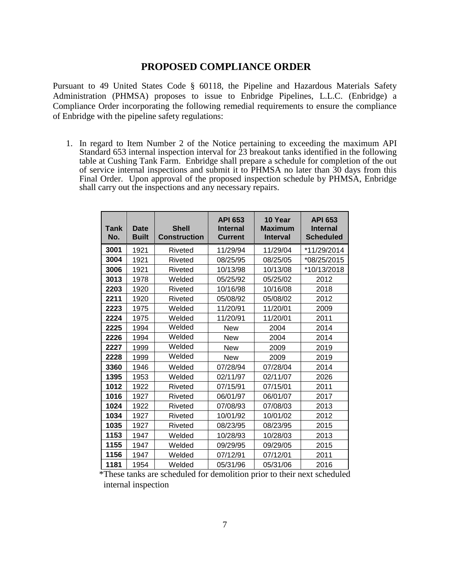## **PROPOSED COMPLIANCE ORDER**

Pursuant to 49 United States Code § 60118, the Pipeline and Hazardous Materials Safety Administration (PHMSA) proposes to issue to Enbridge Pipelines, L.L.C. (Enbridge) a Compliance Order incorporating the following remedial requirements to ensure the compliance of Enbridge with the pipeline safety regulations:

1. In regard to Item Number 2 of the Notice pertaining to exceeding the maximum API Standard 653 internal inspection interval for 23 breakout tanks identified in the following table at Cushing Tank Farm. Enbridge shall prepare a schedule for completion of the out of service internal inspections and submit it to PHMSA no later than 30 days from this Final Order. Upon approval of the proposed inspection schedule by PHMSA, Enbridge shall carry out the inspections and any necessary repairs.

| Tank<br>No. | <b>Date</b><br><b>Built</b> | <b>Shell</b><br><b>Construction</b> | <b>API 653</b><br><b>Internal</b><br><b>Current</b> | 10 Year<br><b>Maximum</b><br><b>Interval</b> | <b>API 653</b><br><b>Internal</b><br><b>Scheduled</b> |
|-------------|-----------------------------|-------------------------------------|-----------------------------------------------------|----------------------------------------------|-------------------------------------------------------|
| 3001        | 1921                        | Riveted                             | 11/29/94                                            | 11/29/04                                     | *11/29/2014                                           |
| 3004        | 1921                        | Riveted                             | 08/25/95                                            | 08/25/05                                     | *08/25/2015                                           |
| 3006        | 1921                        | Riveted                             | 10/13/98                                            | 10/13/08                                     | *10/13/2018                                           |
| 3013        | 1978                        | Welded                              | 05/25/92                                            | 05/25/02                                     | 2012                                                  |
| 2203        | 1920                        | Riveted                             | 10/16/98                                            | 10/16/08                                     | 2018                                                  |
| 2211        | 1920                        | Riveted                             | 05/08/92                                            | 05/08/02                                     | 2012                                                  |
| 2223        | 1975                        | Welded                              | 11/20/91                                            | 11/20/01                                     | 2009                                                  |
| 2224        | 1975                        | Welded                              | 11/20/91                                            | 11/20/01                                     | 2011                                                  |
| 2225        | 1994                        | Welded                              | <b>New</b>                                          | 2004                                         | 2014                                                  |
| 2226        | 1994                        | Welded                              | New                                                 | 2004                                         | 2014                                                  |
| 2227        | 1999                        | Welded                              | <b>New</b>                                          | 2009                                         | 2019                                                  |
| 2228        | 1999                        | Welded                              | New                                                 | 2009                                         | 2019                                                  |
| 3360        | 1946                        | Welded                              | 07/28/94                                            | 07/28/04                                     | 2014                                                  |
| 1395        | 1953                        | Welded                              | 02/11/97                                            | 02/11/07                                     | 2026                                                  |
| 1012        | 1922                        | Riveted                             | 07/15/91                                            | 07/15/01                                     | 2011                                                  |
| 1016        | 1927                        | Riveted                             | 06/01/97                                            | 06/01/07                                     | 2017                                                  |
| 1024        | 1922                        | Riveted                             | 07/08/93                                            | 07/08/03                                     | 2013                                                  |
| 1034        | 1927                        | Riveted                             | 10/01/92                                            | 10/01/02                                     | 2012                                                  |
| 1035        | 1927                        | Riveted                             | 08/23/95                                            | 08/23/95                                     | 2015                                                  |
| 1153        | 1947                        | Welded                              | 10/28/93                                            | 10/28/03                                     | 2013                                                  |
| 1155        | 1947                        | Welded                              | 09/29/95                                            | 09/29/05                                     | 2015                                                  |
| 1156        | 1947                        | Welded                              | 07/12/91                                            | 07/12/01                                     | 2011                                                  |
| 1181        | 1954                        | Welded                              | 05/31/96                                            | 05/31/06                                     | 2016                                                  |

 \*These tanks are scheduled for demolition prior to their next scheduled internal inspection